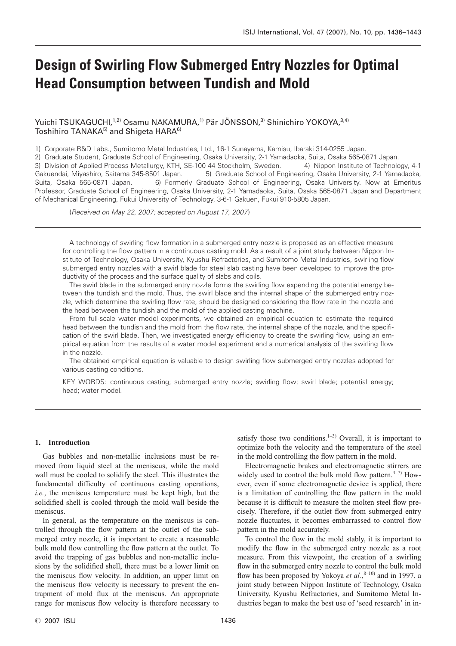# **Design of Swirling Flow Submerged Entry Nozzles for Optimal Head Consumption between Tundish and Mold**

Yuichi TSUKAGUCHI,<sup>1,2)</sup> Osamu NAKAMURA,<sup>1)</sup> Pär JÖNSSON,<sup>3)</sup> Shinichiro YOKOYA,<sup>3,4)</sup> Toshihiro TANAKA<sup>5)</sup> and Shigeta HARA<sup>6)</sup>

1) Corporate R&D Labs., Sumitomo Metal Industries, Ltd., 16-1 Sunayama, Kamisu, Ibaraki 314-0255 Japan.

2) Graduate Student, Graduate School of Engineering, Osaka University, 2-1 Yamadaoka, Suita, Osaka 565-0871 Japan. 3) Division of Applied Process Metallurgy, KTH, SE-100 44 Stockholm, Sweden. 4) Nippon Institute of Technology, 4-1 Gakuendai, Miyashiro, Saitama 345-8501 Japan. 5) Graduate School of Engineering, Osaka University, 2-1 Yamadaoka, Suita, Osaka 565-0871 Japan. 6) Formerly Graduate School of Engineering, Osaka University. Now at Emeritus Professor, Graduate School of Engineering, Osaka University, 2-1 Yamadaoka, Suita, Osaka 565-0871 Japan and Department of Mechanical Engineering, Fukui University of Technology, 3-6-1 Gakuen, Fukui 910-5805 Japan.

(*Received on May 22, 2007; accepted on August 17, 2007*)

A technology of swirling flow formation in a submerged entry nozzle is proposed as an effective measure for controlling the flow pattern in a continuous casting mold. As a result of a joint study between Nippon Institute of Technology, Osaka University, Kyushu Refractories, and Sumitomo Metal Industries, swirling flow submerged entry nozzles with a swirl blade for steel slab casting have been developed to improve the productivity of the process and the surface quality of slabs and coils.

The swirl blade in the submerged entry nozzle forms the swirling flow expending the potential energy between the tundish and the mold. Thus, the swirl blade and the internal shape of the submerged entry nozzle, which determine the swirling flow rate, should be designed considering the flow rate in the nozzle and the head between the tundish and the mold of the applied casting machine.

From full-scale water model experiments, we obtained an empirical equation to estimate the required head between the tundish and the mold from the flow rate, the internal shape of the nozzle, and the specification of the swirl blade. Then, we investigated energy efficiency to create the swirling flow, using an empirical equation from the results of a water model experiment and a numerical analysis of the swirling flow in the nozzle.

The obtained empirical equation is valuable to design swirling flow submerged entry nozzles adopted for various casting conditions.

KEY WORDS: continuous casting; submerged entry nozzle; swirling flow; swirl blade; potential energy; head; water model.

# **1. Introduction**

Gas bubbles and non-metallic inclusions must be removed from liquid steel at the meniscus, while the mold wall must be cooled to solidify the steel. This illustrates the fundamental difficulty of continuous casting operations, *i.e.*, the meniscus temperature must be kept high, but the solidified shell is cooled through the mold wall beside the meniscus.

In general, as the temperature on the meniscus is controlled through the flow pattern at the outlet of the submerged entry nozzle, it is important to create a reasonable bulk mold flow controlling the flow pattern at the outlet. To avoid the trapping of gas bubbles and non-metallic inclusions by the solidified shell, there must be a lower limit on the meniscus flow velocity. In addition, an upper limit on the meniscus flow velocity is necessary to prevent the entrapment of mold flux at the meniscus. An appropriate range for meniscus flow velocity is therefore necessary to

satisfy those two conditions.<sup>1-3)</sup> Overall, it is important to optimize both the velocity and the temperature of the steel in the mold controlling the flow pattern in the mold.

Electromagnetic brakes and electromagnetic stirrers are widely used to control the bulk mold flow pattern. $4-7$ ) However, even if some electromagnetic device is applied, there is a limitation of controlling the flow pattern in the mold because it is difficult to measure the molten steel flow precisely. Therefore, if the outlet flow from submerged entry nozzle fluctuates, it becomes embarrassed to control flow pattern in the mold accurately.

To control the flow in the mold stably, it is important to modify the flow in the submerged entry nozzle as a root measure. From this viewpoint, the creation of a swirling flow in the submerged entry nozzle to control the bulk mold flow has been proposed by Yokoya *et al.*,<sup>8-10)</sup> and in 1997, a joint study between Nippon Institute of Technology, Osaka University, Kyushu Refractories, and Sumitomo Metal Industries began to make the best use of 'seed research' in in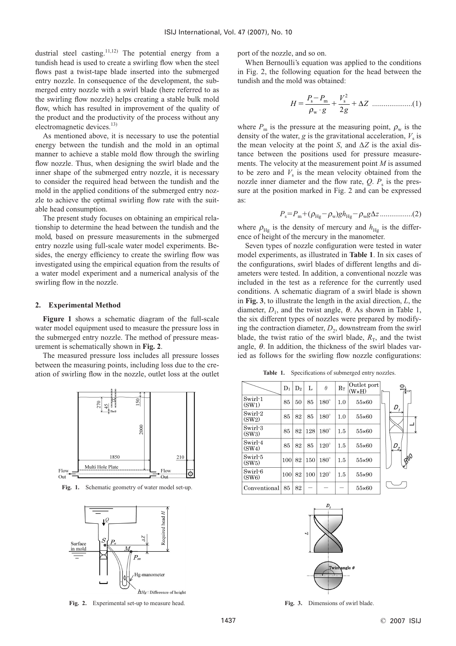dustrial steel casting.<sup>11,12)</sup> The potential energy from a tundish head is used to create a swirling flow when the steel flows past a twist-tape blade inserted into the submerged entry nozzle. In consequence of the development, the submerged entry nozzle with a swirl blade (here referred to as the swirling flow nozzle) helps creating a stable bulk mold flow, which has resulted in improvement of the quality of the product and the productivity of the process without any electromagnetic devices.<sup>13)</sup>

As mentioned above, it is necessary to use the potential energy between the tundish and the mold in an optimal manner to achieve a stable mold flow through the swirling flow nozzle. Thus, when designing the swirl blade and the inner shape of the submerged entry nozzle, it is necessary to consider the required head between the tundish and the mold in the applied conditions of the submerged entry nozzle to achieve the optimal swirling flow rate with the suitable head consumption.

The present study focuses on obtaining an empirical relationship to determine the head between the tundish and the mold, based on pressure measurements in the submerged entry nozzle using full-scale water model experiments. Besides, the energy efficiency to create the swirling flow was investigated using the empirical equation from the results of a water model experiment and a numerical analysis of the swirling flow in the nozzle.

## **2. Experimental Method**

**Figure 1** shows a schematic diagram of the full-scale water model equipment used to measure the pressure loss in the submerged entry nozzle. The method of pressure measurement is schematically shown in **Fig. 2**.

The measured pressure loss includes all pressure losses between the measuring points, including loss due to the creation of swirling flow in the nozzle, outlet loss at the outlet



**Fig. 1.** Schematic geometry of water model set-up.



**Fig. 2.** Experimental set-up to measure head. **Fig. 3.** Dimensions of swirl blade.

port of the nozzle, and so on.

When Bernoulli's equation was applied to the conditions in Fig. 2, the following equation for the head between the tundish and the mold was obtained:

.....................(1) *H P P g V <sup>g</sup> <sup>Z</sup>* - s m w s 2 ρ ⋅ 2 ∆

where  $P_m$  is the pressure at the measuring point,  $\rho_w$  is the density of the water,  $g$  is the gravitational acceleration,  $V<sub>s</sub>$  is the mean velocity at the point *S*, and  $\Delta Z$  is the axial distance between the positions used for pressure measurements. The velocity at the measurement point *M* is assumed to be zero and  $V<sub>s</sub>$  is the mean velocity obtained from the nozzle inner diameter and the flow rate,  $Q$ .  $P_s$  is the pressure at the position marked in Fig. 2 and can be expressed as:

$$
P_{\rm s} = P_{\rm m} + (\rho_{\rm Hg} - \rho_{\rm w}) g h_{\rm Hg} - \rho_{\rm w} g \Delta z \dots \dots \dots \dots \dots (2)
$$

where  $\rho_{\text{Hg}}$  is the density of mercury and  $h_{\text{Hg}}$  is the difference of height of the mercury in the manometer.

Seven types of nozzle configuration were tested in water model experiments, as illustrated in **Table 1**. In six cases of the configurations, swirl blades of different lengths and diameters were tested. In addition, a conventional nozzle was included in the test as a reference for the currently used conditions. A schematic diagram of a swirl blade is shown in **Fig. 3**, to illustrate the length in the axial direction, *L*, the diameter,  $D_1$ , and the twist angle,  $\theta$ . As shown in Table 1, the six different types of nozzles were prepared by modifying the contraction diameter,  $D_2$ , downstream from the swirl blade, the twist ratio of the swirl blade,  $R<sub>T</sub>$ , and the twist angle,  $\theta$ . In addition, the thickness of the swirl blades varied as follows for the swirling flow nozzle configurations:

Table 1. Specifications of submerged entry nozzles.

|                  | $\mathbf{D}_1$ | D <sub>2</sub> | L   | $\theta$    | $R_T$ | Outlet port<br>$(W \times H)$ |                   |
|------------------|----------------|----------------|-----|-------------|-------|-------------------------------|-------------------|
| Swirl-1<br>(SW1) | 85             | 50             | 85  | $180^\circ$ | 1.0   | 55×60                         | $D_f$             |
| Swirl-2<br>(SW2) | 85             | 82             | 85  | $180^\circ$ | 1.0   | 55×60                         |                   |
| Swirl-3<br>(SW3) | 85             | 82             | 128 | $180^\circ$ | 1.5   | 55×60                         |                   |
| Swirl-4<br>(SW4) | 85             | 82             | 85  | $120^\circ$ | 1.5   | 55×60                         | $D_{2}^{\dagger}$ |
| Swirl-5<br>(SW5) | 100            | 82             | 150 | $180^\circ$ | 1.5   | 55×90                         | 860               |
| Swirl-6<br>(SW6) | 100            | 82             | 100 | $120^\circ$ | 1.5   | 55×90                         |                   |
| Conventional     | 85             | 82             |     |             |       | 55×60                         |                   |

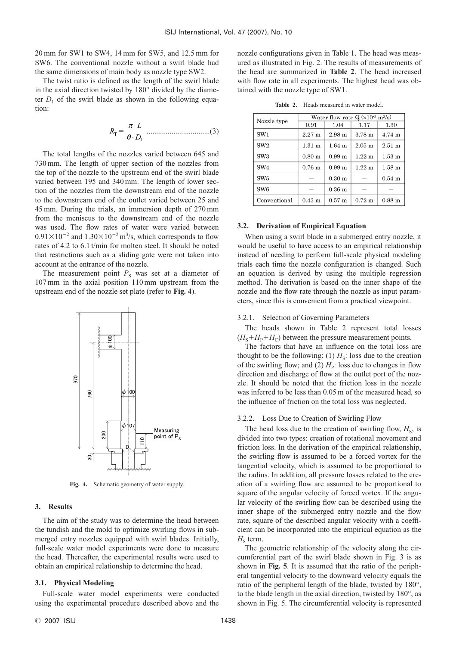20 mm for SW1 to SW4, 14 mm for SW5, and 12.5 mm for SW6. The conventional nozzle without a swirl blade had the same dimensions of main body as nozzle type SW2.

The twist ratio is defined as the length of the swirl blade in the axial direction twisted by 180° divided by the diameter  $D_1$  of the swirl blade as shown in the following equation:

.................................(3) *R L <sup>D</sup>* <sup>T</sup> <sup>π</sup> θ ⋅ ⋅ <sup>1</sup>

The total lengths of the nozzles varied between 645 and 730 mm. The length of upper section of the nozzles from the top of the nozzle to the upstream end of the swirl blade varied between 195 and 340 mm. The length of lower section of the nozzles from the downstream end of the nozzle to the downstream end of the outlet varied between 25 and 45 mm. During the trials, an immersion depth of 270 mm from the meniscus to the downstream end of the nozzle was used. The flow rates of water were varied between  $0.91 \times 10^{-2}$  and  $1.30 \times 10^{-2}$  m<sup>3</sup>/s, which corresponds to flow rates of 4.2 to 6.1 t/min for molten steel. It should be noted that restrictions such as a sliding gate were not taken into account at the entrance of the nozzle.

The measurement point  $P<sub>S</sub>$  was set at a diameter of 107 mm in the axial position 110 mm upstream from the upstream end of the nozzle set plate (refer to **Fig. 4**).



**Fig. 4.** Schematic geometry of water supply.

# **3. Results**

The aim of the study was to determine the head between the tundish and the mold to optimize swirling flows in submerged entry nozzles equipped with swirl blades. Initially, full-scale water model experiments were done to measure the head. Thereafter, the experimental results were used to obtain an empirical relationship to determine the head.

# **3.1. Physical Modeling**

Full-scale water model experiments were conducted using the experimental procedure described above and the nozzle configurations given in Table 1. The head was measured as illustrated in Fig. 2. The results of measurements of the head are summarized in **Table 2**. The head increased with flow rate in all experiments. The highest head was obtained with the nozzle type of SW1.

**Table 2.** Heads measured in water model.

| Nozzle type     | Water flow rate $Q(x10^2 \text{ m}^3/\text{s})$ |                   |                      |                   |  |  |  |  |  |
|-----------------|-------------------------------------------------|-------------------|----------------------|-------------------|--|--|--|--|--|
|                 | 0.91                                            | 1.04              | 1.17                 | 1.30              |  |  |  |  |  |
| SW <sub>1</sub> | $2.27 \text{ m}$                                | 2.98 <sub>m</sub> | 3.78 <sub>m</sub>    | 4.74 m            |  |  |  |  |  |
| SW2             | $1.31 \text{ m}$                                | 1.64 <sub>m</sub> | $2.05 \text{ m}$     | $2.51 \text{ m}$  |  |  |  |  |  |
| SW <sub>3</sub> | 0.80 <sub>m</sub>                               | 0.99 <sub>m</sub> | $1.22 \text{ m}$     | $1.53 \text{ m}$  |  |  |  |  |  |
| SW <sub>4</sub> | 0.76 <sub>m</sub>                               | 0.99 <sub>m</sub> | $1.22 \; \mathrm{m}$ | $1.58 \text{ m}$  |  |  |  |  |  |
| SW <sub>5</sub> |                                                 | 0.30 <sub>m</sub> |                      | $0.54$ m          |  |  |  |  |  |
| SW <sub>6</sub> |                                                 | 0.36 <sub>m</sub> |                      |                   |  |  |  |  |  |
| Conventional    | $0.43 \text{ m}$                                | $0.57$ m          | $0.72 \text{ m}$     | 0.88 <sub>m</sub> |  |  |  |  |  |

## **3.2. Derivation of Empirical Equation**

When using a swirl blade in a submerged entry nozzle, it would be useful to have access to an empirical relationship instead of needing to perform full-scale physical modeling trials each time the nozzle configuration is changed. Such an equation is derived by using the multiple regression method. The derivation is based on the inner shape of the nozzle and the flow rate through the nozzle as input parameters, since this is convenient from a practical viewpoint.

# 3.2.1. Selection of Governing Parameters

The heads shown in Table 2 represent total losses  $(H<sub>S</sub>+H<sub>P</sub>+H<sub>C</sub>)$  between the pressure measurement points.

The factors that have an influence on the total loss are thought to be the following: (1)  $H<sub>S</sub>$ : loss due to the creation of the swirling flow; and (2)  $H_p$ : loss due to changes in flow direction and discharge of flow at the outlet port of the nozzle. It should be noted that the friction loss in the nozzle was inferred to be less than 0.05 m of the measured head, so the influence of friction on the total loss was neglected.

## 3.2.2. Loss Due to Creation of Swirling Flow

The head loss due to the creation of swirling flow,  $H<sub>S</sub>$ , is divided into two types: creation of rotational movement and friction loss. In the derivation of the empirical relationship, the swirling flow is assumed to be a forced vortex for the tangential velocity, which is assumed to be proportional to the radius. In addition, all pressure losses related to the creation of a swirling flow are assumed to be proportional to square of the angular velocity of forced vortex. If the angular velocity of the swirling flow can be described using the inner shape of the submerged entry nozzle and the flow rate, square of the described angular velocity with a coefficient can be incorporated into the empirical equation as the  $H<sub>S</sub>$  term.

The geometric relationship of the velocity along the circumferential part of the swirl blade shown in Fig. 3 is as shown in **Fig. 5**. It is assumed that the ratio of the peripheral tangential velocity to the downward velocity equals the ratio of the peripheral length of the blade, twisted by 180°, to the blade length in the axial direction, twisted by 180°, as shown in Fig. 5. The circumferential velocity is represented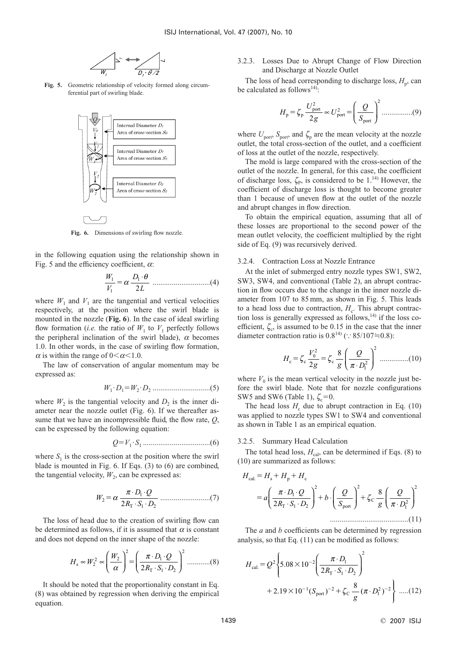

**Fig. 5.** Geometric relationship of velocity formed along circumferential part of swirling blade.



Fig. 6. Dimensions of swirling flow nozzle.

in the following equation using the relationship shown in Fig. 5 and the efficiency coefficient,  $\alpha$ :

..............................(4) *W V D L* 1 1 1 <sup>2</sup> <sup>α</sup> <sup>⋅</sup><sup>θ</sup>

where  $W_1$  and  $V_1$  are the tangential and vertical velocities respectively, at the position where the swirl blade is mounted in the nozzle (**Fig. 6**). In the case of ideal swirling flow formation (*i.e.* the ratio of  $W_1$  to  $V_1$  perfectly follows the peripheral inclination of the swirl blade),  $\alpha$  becomes 1.0. In other words, in the case of swirling flow formation,  $\alpha$  is within the range of  $0<\alpha<1.0$ .

The law of conservation of angular momentum may be expressed as:

*W*<sup>1</sup> ·*D*1*W*<sup>2</sup> ·*D*<sup>2</sup> ..............................(5)

where  $W_2$  is the tangential velocity and  $D_2$  is the inner diameter near the nozzle outlet (Fig. 6). If we thereafter assume that we have an incompressible fluid, the flow rate, *Q*, can be expressed by the following equation:

*QV*<sup>1</sup> ·*S*<sup>1</sup> ...................................(6)

where  $S_1$  is the cross-section at the position where the swirl blade is mounted in Fig. 6. If Eqs. (3) to (6) are combined, the tangential velocity,  $W_2$ , can be expressed as:

..........................(7) *<sup>W</sup> D Q RSD* <sup>2</sup> 1 1 2 <sup>2</sup> <sup>α</sup> <sup>π</sup> ⋅ ⋅ ⋅ ⋅ <sup>T</sup>

The loss of head due to the creation of swirling flow can be determined as follows, if it is assumed that  $\alpha$  is constant and does not depend on the inner shape of the nozzle:

$$
H_s \propto W_2^2 \propto \left(\frac{W_2}{\alpha}\right)^2 = \left(\frac{\pi \cdot D_1 \cdot Q}{2R_\text{T} \cdot S_1 \cdot D_2}\right)^2 \dots \dots \dots \dots (8)
$$

It should be noted that the proportionality constant in Eq. (8) was obtained by regression when deriving the empirical equation.

# 3.2.3. Losses Due to Abrupt Change of Flow Direction and Discharge at Nozzle Outlet

The loss of head corresponding to discharge loss,  $H_p$ , can be calculated as follows<sup>14)</sup>:

$$
H_{\rm p} = \zeta_{\rm p} \frac{U_{\rm port}^2}{2g} \propto U_{\rm port}^2 = \left(\frac{Q}{S_{\rm port}}\right)^2 \dots \dots \dots \dots \dots (9)
$$

where  $U_{\text{port}}$ ,  $S_{\text{port}}$ , and  $\zeta_{\text{p}}$  are the mean velocity at the nozzle outlet, the total cross-section of the outlet, and a coefficient of loss at the outlet of the nozzle, respectively.

The mold is large compared with the cross-section of the outlet of the nozzle. In general, for this case, the coefficient of discharge loss,  $\zeta_{\rm P}$ , is considered to be 1.<sup>14)</sup> However, the coefficient of discharge loss is thought to become greater than 1 because of uneven flow at the outlet of the nozzle and abrupt changes in flow direction.

To obtain the empirical equation, assuming that all of these losses are proportional to the second power of the mean outlet velocity, the coefficient multiplied by the right side of Eq. (9) was recursively derived.

#### 3.2.4. Contraction Loss at Nozzle Entrance

At the inlet of submerged entry nozzle types SW1, SW2, SW3, SW4, and conventional (Table 2), an abrupt contraction in flow occurs due to the change in the inner nozzle diameter from 107 to 85 mm, as shown in Fig. 5. This leads to a head loss due to contraction,  $H_c$ . This abrupt contraction loss is generally expressed as follows, $14$ ) if the loss coefficient,  $\zeta_c$ , is assumed to be 0.15 in the case that the inner diameter contraction ratio is  $0.8^{14}$  ( $\because$  85/107=0.8):

$$
H_{\rm c} = \zeta_{\rm c} \frac{V_0^2}{2g} = \zeta_{\rm c} \frac{8}{g} \left( \frac{Q}{\pi \cdot D_1^2} \right)^2 \dots \dots \dots \dots (10)
$$

where  $V_0$  is the mean vertical velocity in the nozzle just before the swirl blade. Note that for nozzle configurations SW5 and SW6 (Table 1),  $\zeta_c = 0$ .

The head loss  $H_c$  due to abrupt contraction in Eq. (10) was applied to nozzle types SW1 to SW4 and conventional as shown in Table 1 as an empirical equation.

#### 3.2.5. Summary Head Calculation

The total head loss,  $H_{\text{cal}}$  can be determined if Eqs. (8) to (10) are summarized as follows:

$$
H_{\text{cal}} = H_s + H_p + H_c
$$
  
=  $a \left( \frac{\pi \cdot D_1 \cdot Q}{2R_{\text{T}} \cdot S_1 \cdot D_2} \right)^2 + b \cdot \left( \frac{Q}{S_{\text{port}}} \right)^2 + \zeta_c \frac{8}{g} \left( \frac{Q}{\pi \cdot D_1^2} \right)^2$   
.................(11)

The *a* and *b* coefficients can be determined by regression analysis, so that Eq. (11) can be modified as follows:

$$
H_{\text{cal}} = Q^2 \left\{ 5.08 \times 10^{-2} \left( \frac{\pi \cdot D_1}{2R_\text{T} \cdot S_1 \cdot D_2} \right)^2 + 2.19 \times 10^{-1} (S_{\text{port}})^{-2} + \zeta_c \frac{8}{g} (\pi \cdot D_1^2)^{-2} \right\} \dots (12)
$$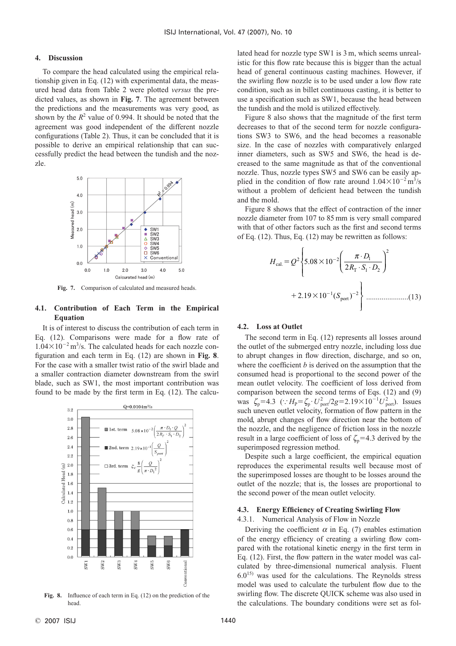## **4. Discussion**

To compare the head calculated using the empirical relationship given in Eq. (12) with experimental data, the measured head data from Table 2 were plotted *versus* the predicted values, as shown in **Fig. 7**. The agreement between the predictions and the measurements was very good, as shown by the  $R^2$  value of 0.994. It should be noted that the agreement was good independent of the different nozzle configurations (Table 2). Thus, it can be concluded that it is possible to derive an empirical relationship that can successfully predict the head between the tundish and the nozzle.



**Fig. 7.** Comparison of calculated and measured heads.

# **4.1. Contribution of Each Term in the Empirical Equation**

It is of interest to discuss the contribution of each term in Eq. (12). Comparisons were made for a flow rate of  $1.04\times10^{-2}$  m<sup>3</sup>/s. The calculated heads for each nozzle configuration and each term in Eq. (12) are shown in **Fig. 8**. For the case with a smaller twist ratio of the swirl blade and a smaller contraction diameter downstream from the swirl blade, such as SW1, the most important contribution was found to be made by the first term in Eq. (12). The calcu-



**Fig. 8.** Influence of each term in Eq. (12) on the prediction of the head.

lated head for nozzle type SW1 is 3 m, which seems unrealistic for this flow rate because this is bigger than the actual head of general continuous casting machines. However, if the swirling flow nozzle is to be used under a low flow rate condition, such as in billet continuous casting, it is better to use a specification such as SW1, because the head between the tundish and the mold is utilized effectively.

Figure 8 also shows that the magnitude of the first term decreases to that of the second term for nozzle configurations SW3 to SW6, and the head becomes a reasonable size. In the case of nozzles with comparatively enlarged inner diameters, such as SW5 and SW6, the head is decreased to the same magnitude as that of the conventional nozzle. Thus, nozzle types SW5 and SW6 can be easily applied in the condition of flow rate around  $1.04 \times 10^{-2}$  m<sup>3</sup>/s without a problem of deficient head between the tundish and the mold.

Figure 8 shows that the effect of contraction of the inner nozzle diameter from 107 to 85 mm is very small compared with that of other factors such as the first and second terms of Eq. (12). Thus, Eq. (12) may be rewritten as follows:

......................(13) *S* - port 1 2 2 19 10 . () *H Q D RSD* cal. T 2 2 <sup>1</sup> 1 2 2 5 08 10 <sup>2</sup> . <sup>π</sup> <sup>⋅</sup> ⋅ ⋅ 

## **4.2. Loss at Outlet**

The second term in Eq. (12) represents all losses around the outlet of the submerged entry nozzle, including loss due to abrupt changes in flow direction, discharge, and so on, where the coefficient *b* is derived on the assumption that the consumed head is proportional to the second power of the mean outlet velocity. The coefficient of loss derived from comparison between the second terms of Eqs. (12) and (9) was  $\zeta_p = 4.3$  ( $\therefore H_p = \zeta_p \cdot U_{\text{port}}^2 / 2g = 2.19 \times 10^{-1} U_{\text{port}}^2$ ). Issues such uneven outlet velocity, formation of flow pattern in the mold, abrupt changes of flow direction near the bottom of the nozzle, and the negligence of friction loss in the nozzle result in a large coefficient of loss of  $\zeta_p = 4.3$  derived by the superimposed regression method.

Despite such a large coefficient, the empirical equation reproduces the experimental results well because most of the superimposed losses are thought to be losses around the outlet of the nozzle; that is, the losses are proportional to the second power of the mean outlet velocity.

# **4.3. Energy Efficiency of Creating Swirling Flow**

## 4.3.1. Numerical Analysis of Flow in Nozzle

Deriving the coefficient  $\alpha$  in Eq. (7) enables estimation of the energy efficiency of creating a swirling flow compared with the rotational kinetic energy in the first term in Eq. (12). First, the flow pattern in the water model was calculated by three-dimensional numerical analysis. Fluent  $6.0^{15}$  was used for the calculations. The Reynolds stress model was used to calculate the turbulent flow due to the swirling flow. The discrete QUICK scheme was also used in the calculations. The boundary conditions were set as fol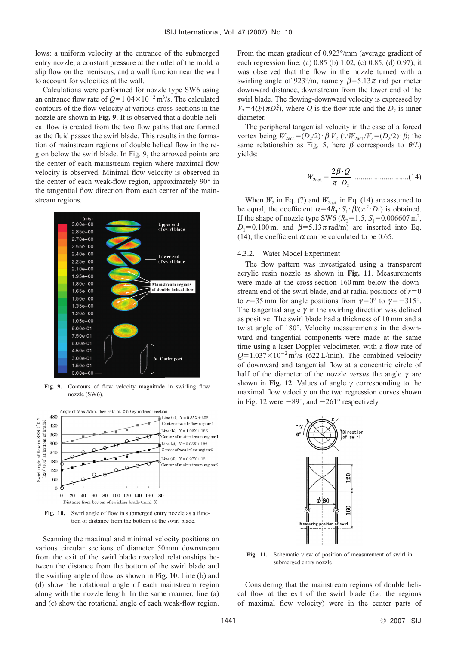lows: a uniform velocity at the entrance of the submerged entry nozzle, a constant pressure at the outlet of the mold, a slip flow on the meniscus, and a wall function near the wall to account for velocities at the wall.

Calculations were performed for nozzle type SW6 using an entrance flow rate of  $Q=1.04\times10^{-2}$  m<sup>3</sup>/s. The calculated contours of the flow velocity at various cross-sections in the nozzle are shown in **Fig. 9**. It is observed that a double helical flow is created from the two flow paths that are formed as the fluid passes the swirl blade. This results in the formation of mainstream regions of double helical flow in the region below the swirl blade. In Fig. 9, the arrowed points are the center of each mainstream region where maximal flow velocity is observed. Minimal flow velocity is observed in the center of each weak-flow region, approximately 90° in the tangential flow direction from each center of the mainstream regions.



**Fig. 9.** Contours of flow velocity magnitude in swirling flow nozzle (SW6).



**Fig. 10.** Swirl angle of flow in submerged entry nozzle as a function of distance from the bottom of the swirl blade.

Scanning the maximal and minimal velocity positions on various circular sections of diameter 50 mm downstream from the exit of the swirl blade revealed relationships between the distance from the bottom of the swirl blade and the swirling angle of flow, as shown in **Fig. 10**. Line (b) and (d) show the rotational angle of each mainstream region along with the nozzle length. In the same manner, line (a) and (c) show the rotational angle of each weak-flow region.

From the mean gradient of 0.923°/mm (average gradient of each regression line; (a) 0.85 (b) 1.02, (c) 0.85, (d) 0.97), it was observed that the flow in the nozzle turned with a swirling angle of 923°/m, namely  $\beta$ =5.13 $\pi$  rad per meter downward distance, downstream from the lower end of the swirl blade. The flowing-downward velocity is expressed by  $V_2 = 4Q/(\pi D_2^2)$ , where *Q* is the flow rate and the *D*<sub>2</sub> is inner diameter.

The peripheral tangential velocity in the case of a forced vortex being  $W_{2\text{act.}} = (D_2/2) \cdot \beta V_2$  ( $W_{2\text{act.}}/V_2 = (D_2/2) \cdot \beta$ ; the same relationship as Fig. 5, here  $\beta$  corresponds to  $\theta/L$ ) yields:

............................(14) *<sup>W</sup> <sup>Q</sup> <sup>D</sup>* 2act. <sup>2</sup> 2 β π ⋅ ⋅

When  $W_2$  in Eq. (7) and  $W_{2\text{act.}}$  in Eq. (14) are assumed to be equal, the coefficient  $\alpha=4R_T \cdot S_1 \cdot \beta/(\pi^2 \cdot D_1)$  is obtained. If the shape of nozzle type SW6  $(R_T = 1.5, S_1 = 0.006607 \text{ m}^2)$ ,  $D_1=0.100 \text{ m}$ , and  $\beta=5.13\pi \text{ rad/m}$  are inserted into Eq. (14), the coefficient  $\alpha$  can be calculated to be 0.65.

#### 4.3.2. Water Model Experiment

The flow pattern was investigated using a transparent acrylic resin nozzle as shown in **Fig. 11**. Measurements were made at the cross-section 160 mm below the downstream end of the swirl blade, and at radial positions of  $r=0$ to  $r=35$  mm for angle positions from  $\gamma=0^{\circ}$  to  $\gamma=-315^{\circ}$ . The tangential angle  $\gamma$  in the swirling direction was defined as positive. The swirl blade had a thickness of 10 mm and a twist angle of 180°. Velocity measurements in the downward and tangential components were made at the same time using a laser Doppler velocimeter, with a flow rate of  $Q=1.037\times10^{-2}$  m<sup>3</sup>/s (622 L/min). The combined velocity of downward and tangential flow at a concentric circle of half of the diameter of the nozzle *versus* the angle  $\gamma$  are shown in **Fig. 12**. Values of angle  $\gamma$  corresponding to the maximal flow velocity on the two regression curves shown in Fig. 12 were  $-89^{\circ}$ , and  $-261^{\circ}$  respectively.



**Fig. 11.** Schematic view of position of measurement of swirl in submerged entry nozzle.

Considering that the mainstream regions of double helical flow at the exit of the swirl blade (*i.e.* the regions of maximal flow velocity) were in the center parts of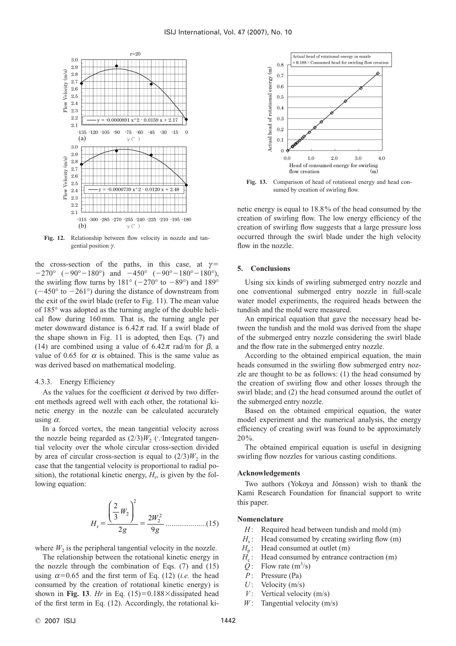![](_page_6_Figure_1.jpeg)

**Fig. 12.** Relationship between flow velocity in nozzle and tangential position  $\gamma$ .

the cross-section of the paths, in this case, at  $\gamma$ =  $-270^{\circ}$  ( $-90^{\circ} - 180^{\circ}$ ) and  $-450^{\circ}$  ( $-90^{\circ} - 180^{\circ} - 180^{\circ}$ ), the swirling flow turns by  $181^\circ$  ( $-270^\circ$  to  $-89^\circ$ ) and  $189^\circ$  $(-450°$  to  $-261°)$  during the distance of downstream from the exit of the swirl blade (refer to Fig. 11). The mean value of 185° was adopted as the turning angle of the double helical flow during 160 mm. That is, the turning angle per meter downward distance is  $6.42\pi$  rad. If a swirl blade of the shape shown in Fig. 11 is adopted, then Eqs. (7) and (14) are combined using a value of  $6.42\pi$  rad/m for  $\beta$ , a value of 0.65 for  $\alpha$  is obtained. This is the same value as was derived based on mathematical modeling.

## 4.3.3. Energy Efficiency

As the values for the coefficient  $\alpha$  derived by two different methods agreed well with each other, the rotational kinetic energy in the nozzle can be calculated accurately using  $\alpha$ .

In a forced vortex, the mean tangential velocity across the nozzle being regarded as  $(2/3)W$ <sub>2</sub> (: Integrated tangential velocity over the whole circular cross-section divided by area of circular cross-section is equal to  $(2/3)W_2$  in the case that the tangential velocity is proportional to radial position), the rotational kinetic energy,  $H_r$ , is given by the following equation:

.....................(15) *H W g W <sup>g</sup>* <sup>r</sup> 2 3 2 2 9 2 2 2 2 

where  $W_2$  is the peripheral tangential velocity in the nozzle.

The relationship between the rotational kinetic energy in the nozzle through the combination of Eqs. (7) and (15) using  $\alpha$ =0.65 and the first term of Eq. (12) (*i.e.* the head consumed by the creation of rotational kinetic energy) is shown in Fig. 13. *Hr* in Eq.  $(15)=0.188\times$  dissipated head of the first term in Eq. (12). Accordingly, the rotational ki-

![](_page_6_Figure_10.jpeg)

**Fig. 13.** Comparison of head of rotational energy and head consumed by creation of swirling flow.

netic energy is equal to 18.8% of the head consumed by the creation of swirling flow. The low energy efficiency of the creation of swirling flow suggests that a large pressure loss occurred through the swirl blade under the high velocity flow in the nozzle.

# **5. Conclusions**

Using six kinds of swirling submerged entry nozzle and one conventional submerged entry nozzle in full-scale water model experiments, the required heads between the tundish and the mold were measured.

An empirical equation that gave the necessary head between the tundish and the mold was derived from the shape of the submerged entry nozzle considering the swirl blade and the flow rate in the submerged entry nozzle.

According to the obtained empirical equation, the main heads consumed in the swirling flow submerged entry nozzle are thought to be as follows: (1) the head consumed by the creation of swirling flow and other losses through the swirl blade; and (2) the head consumed around the outlet of the submerged entry nozzle.

Based on the obtained empirical equation, the water model experiment and the numerical analysis, the energy efficiency of creating swirl was found to be approximately 20%.

The obtained empirical equation is useful in designing swirling flow nozzles for various casting conditions.

## **Acknowledgements**

Two authors (Yokoya and Jönsson) wish to thank the Kami Research Foundation for financial support to write this paper.

## **Nomenclature**

- *H*: Required head between tundish and mold (m)
- $H_s$ : Head consumed by creating swirling flow (m)  $H_s$ : Head consumed at outlet (m)
- $H_p$ : Head consumed at outlet (m)<br> $H_c$ : Head consumed by entrance c
- $H_c$ : Head consumed by entrance contraction (m)  $Q$ : Flow rate (m<sup>3</sup>/s)
- $Q:$  Flow rate  $(m^3/s)$
- *P* : Pressure (Pa)
- *U*: Velocity (m/s)
- $V$ : Vertical velocity (m/s)
- *W*: Tangential velocity (m/s)